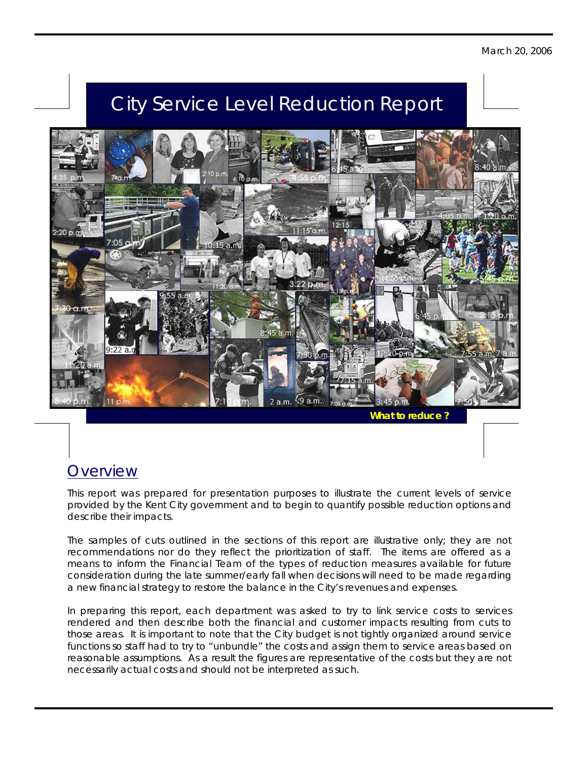## City Service Level Reduction Report



*What to reduce* 

## **Overview**

This report was prepared for presentation purposes to illustrate the current levels of service provided by the Kent City government and to begin to quantify possible reduction options and describe their impacts.

The samples of cuts outlined in the sections of this report are illustrative only; they are not recommendations nor do they reflect the prioritization of staff. The items are offered as a means to inform the Financial Team of the types of reduction measures available for future consideration during the late summer/early fall when decisions will need to be made regarding a new financial strategy to restore the balance in the City's revenues and expenses.

In preparing this report, each department was asked to try to link service costs to services rendered and then describe both the financial and customer impacts resulting from cuts to those areas. It is important to note that the City budget is not tightly organized around service functions so staff had to try to "unbundle" the costs and assign them to service areas based on reasonable assumptions. As a result the figures are representative of the costs but they are not necessarily actual costs and should not be interpreted as such.